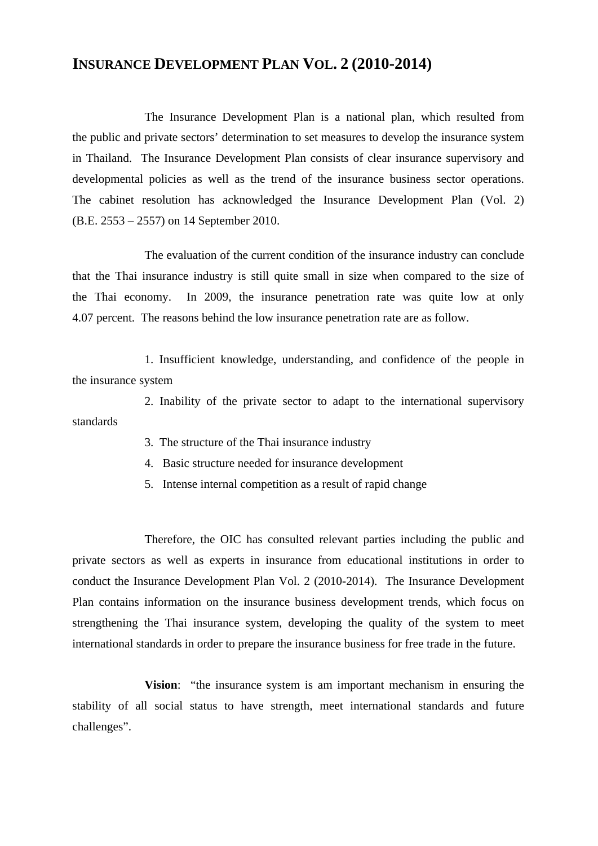## **INSURANCE DEVELOPMENT PLAN VOL. 2 (2010-2014)**

 The Insurance Development Plan is a national plan, which resulted from the public and private sectors' determination to set measures to develop the insurance system in Thailand. The Insurance Development Plan consists of clear insurance supervisory and developmental policies as well as the trend of the insurance business sector operations. The cabinet resolution has acknowledged the Insurance Development Plan (Vol. 2) (B.E. 2553 – 2557) on 14 September 2010.

 The evaluation of the current condition of the insurance industry can conclude that the Thai insurance industry is still quite small in size when compared to the size of the Thai economy. In 2009, the insurance penetration rate was quite low at only 4.07 percent. The reasons behind the low insurance penetration rate are as follow.

 1. Insufficient knowledge, understanding, and confidence of the people in the insurance system

 2. Inability of the private sector to adapt to the international supervisory standards

- 3. The structure of the Thai insurance industry
- 4. Basic structure needed for insurance development
- 5. Intense internal competition as a result of rapid change

Therefore, the OIC has consulted relevant parties including the public and private sectors as well as experts in insurance from educational institutions in order to conduct the Insurance Development Plan Vol. 2 (2010-2014). The Insurance Development Plan contains information on the insurance business development trends, which focus on strengthening the Thai insurance system, developing the quality of the system to meet international standards in order to prepare the insurance business for free trade in the future.

 **Vision**: "the insurance system is am important mechanism in ensuring the stability of all social status to have strength, meet international standards and future challenges".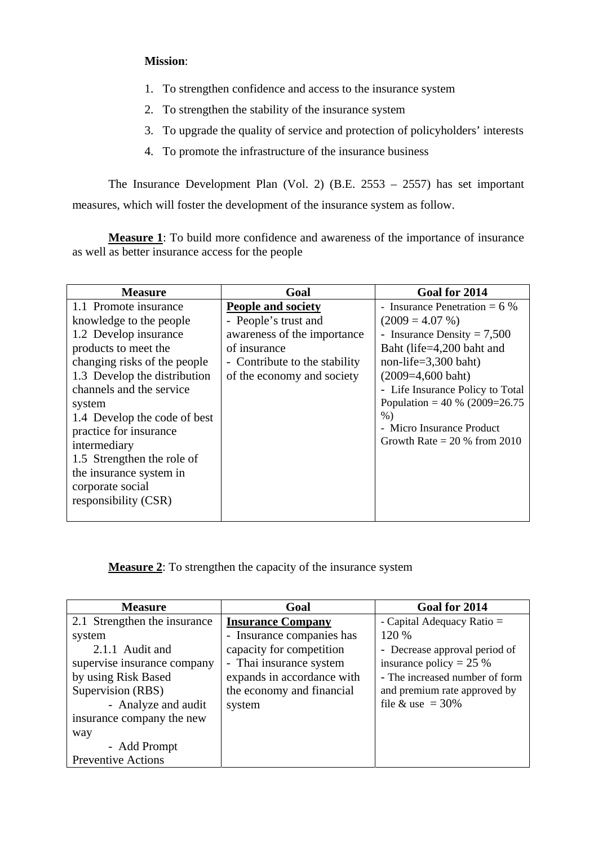## **Mission**:

- 1. To strengthen confidence and access to the insurance system
- 2. To strengthen the stability of the insurance system
- 3. To upgrade the quality of service and protection of policyholders' interests
- 4. To promote the infrastructure of the insurance business

 The Insurance Development Plan (Vol. 2) (B.E. 2553 – 2557) has set important measures, which will foster the development of the insurance system as follow.

**Measure 1**: To build more confidence and awareness of the importance of insurance as well as better insurance access for the people

| <b>Measure</b>               | Goal                          | Goal for 2014                    |
|------------------------------|-------------------------------|----------------------------------|
| 1.1 Promote insurance        | <b>People and society</b>     | - Insurance Penetration $= 6\%$  |
| knowledge to the people      | - People's trust and          | $(2009 = 4.07\%)$                |
| 1.2 Develop insurance        | awareness of the importance   | - Insurance Density = $7,500$    |
| products to meet the         | of insurance                  | Baht (life=4,200 baht and        |
| changing risks of the people | - Contribute to the stability | non-life= $3,300$ baht)          |
| 1.3 Develop the distribution | of the economy and society    | $(2009=4,600 \text{ bath})$      |
| channels and the service     |                               | - Life Insurance Policy to Total |
| system                       |                               | Population = $40\%$ (2009=26.75) |
| 1.4 Develop the code of best |                               | $%$ )                            |
| practice for insurance       |                               | - Micro Insurance Product        |
| intermediary                 |                               | Growth Rate $= 20 %$ from 2010   |
| 1.5 Strengthen the role of   |                               |                                  |
| the insurance system in      |                               |                                  |
| corporate social             |                               |                                  |
| responsibility (CSR)         |                               |                                  |
|                              |                               |                                  |

**Measure 2**: To strengthen the capacity of the insurance system

| <b>Measure</b>               | Goal                       | Goal for 2014                  |
|------------------------------|----------------------------|--------------------------------|
| 2.1 Strengthen the insurance | <b>Insurance Company</b>   | - Capital Adequacy Ratio =     |
| system                       | - Insurance companies has  | 120 %                          |
| 2.1.1 Audit and              | capacity for competition   | - Decrease approval period of  |
| supervise insurance company  | - Thai insurance system    | insurance policy = $25%$       |
| by using Risk Based          | expands in accordance with | - The increased number of form |
| Supervision (RBS)            | the economy and financial  | and premium rate approved by   |
| - Analyze and audit          | system                     | file & use = $30\%$            |
| insurance company the new    |                            |                                |
| way                          |                            |                                |
| - Add Prompt                 |                            |                                |
| <b>Preventive Actions</b>    |                            |                                |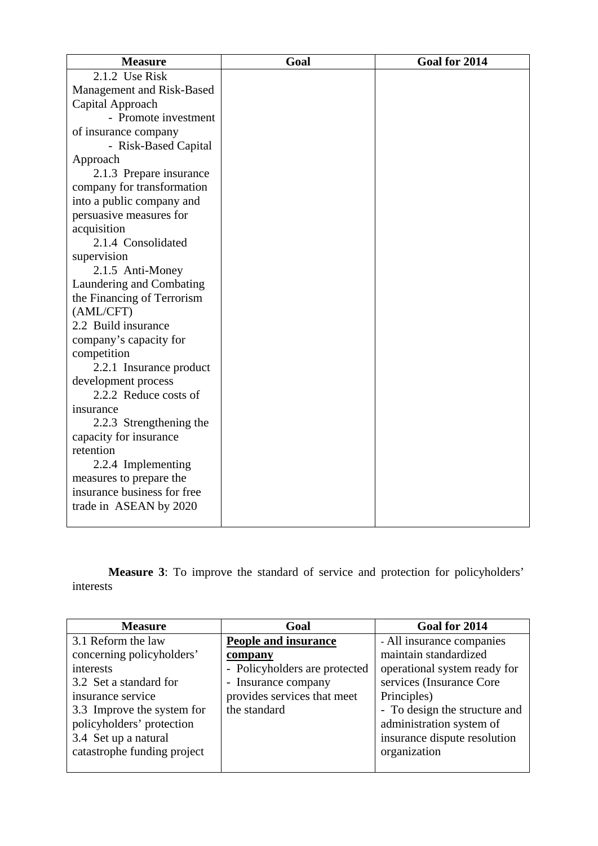| <b>Measure</b>              | Goal | Goal for 2014 |
|-----------------------------|------|---------------|
| 2.1.2 Use Risk              |      |               |
| Management and Risk-Based   |      |               |
| Capital Approach            |      |               |
| - Promote investment        |      |               |
| of insurance company        |      |               |
| - Risk-Based Capital        |      |               |
| Approach                    |      |               |
| 2.1.3 Prepare insurance     |      |               |
| company for transformation  |      |               |
| into a public company and   |      |               |
| persuasive measures for     |      |               |
| acquisition                 |      |               |
| 2.1.4 Consolidated          |      |               |
| supervision                 |      |               |
| 2.1.5 Anti-Money            |      |               |
| Laundering and Combating    |      |               |
| the Financing of Terrorism  |      |               |
| (AML/CFT)                   |      |               |
| 2.2 Build insurance         |      |               |
| company's capacity for      |      |               |
| competition                 |      |               |
| 2.2.1 Insurance product     |      |               |
| development process         |      |               |
| 2.2.2 Reduce costs of       |      |               |
| insurance                   |      |               |
| 2.2.3 Strengthening the     |      |               |
| capacity for insurance      |      |               |
| retention                   |      |               |
| 2.2.4 Implementing          |      |               |
| measures to prepare the     |      |               |
| insurance business for free |      |               |
| trade in ASEAN by 2020      |      |               |
|                             |      |               |

**Measure 3**: To improve the standard of service and protection for policyholders' interests

| <b>Measure</b>              | Goal                          | Goal for 2014                 |
|-----------------------------|-------------------------------|-------------------------------|
| 3.1 Reform the law          | <b>People and insurance</b>   | - All insurance companies     |
| concerning policyholders'   | company                       | maintain standardized         |
| interests                   | - Policyholders are protected | operational system ready for  |
| 3.2 Set a standard for      | - Insurance company           | services (Insurance Core      |
| insurance service           | provides services that meet   | Principles)                   |
| 3.3 Improve the system for  | the standard                  | - To design the structure and |
| policyholders' protection   |                               | administration system of      |
| 3.4 Set up a natural        |                               | insurance dispute resolution  |
| catastrophe funding project |                               | organization                  |
|                             |                               |                               |